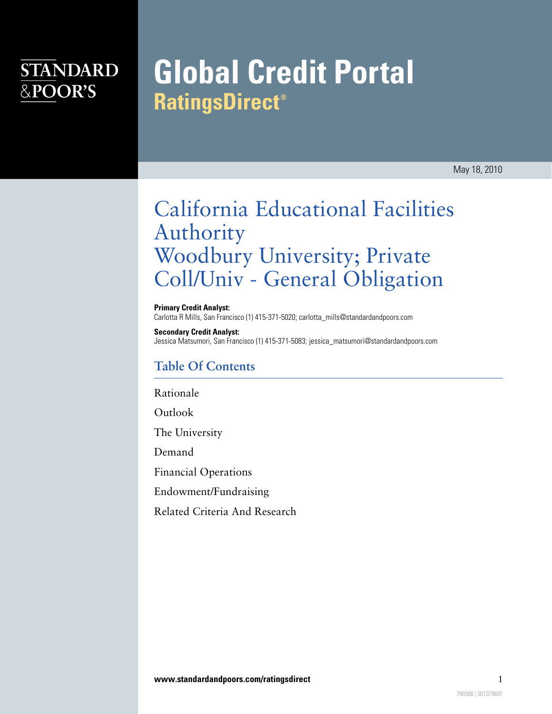### **STANDARD** &POOR'S

# **Global Credit Portal RatingsDirect**®

May 18, 2010

## California Educational Facilities Authority Woodbury University; Private Coll/Univ - General Obligation

**Primary Credit Analyst:** Carlotta R Mills, San Francisco (1) 415-371-5020; carlotta\_mills@standardandpoors.com

**Secondary Credit Analyst:** Jessica Matsumori, San Francisco (1) 415-371-5083; jessica\_matsumori@standardandpoors.com

#### **Table Of Contents**

[Rationale](#page-1-0)

[Outlook](#page-1-1)

[The University](#page-2-0)

[Demand](#page-2-1)

[Financial Operations](#page-2-2)

[Endowment/Fundraising](#page-2-3)

[Related Criteria And Research](#page-3-0)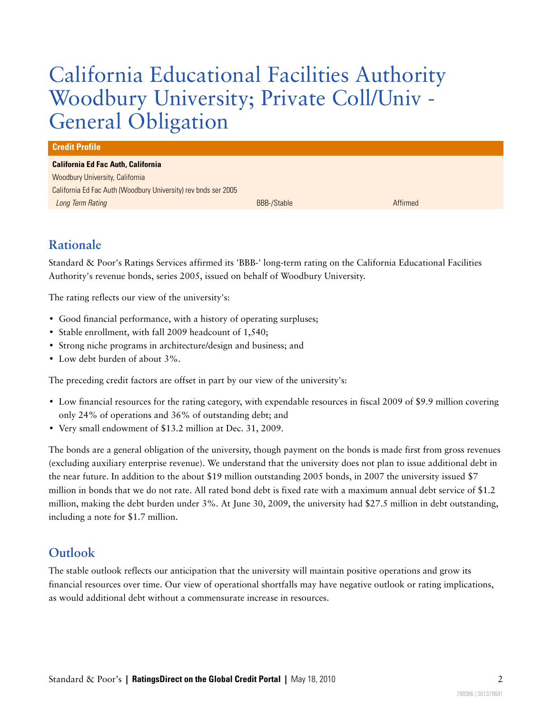## California Educational Facilities Authority Woodbury University; Private Coll/Univ - General Obligation

#### **Credit Profile**

#### **California Ed Fac Auth, California**

Woodbury University, California California Ed Fac Auth (Woodbury University) rev bnds ser 2005 Long Term Rating **BBB-1999** Affirmed Affirmed Affirmed BBB-/Stable Affirmed Affirmed Affirmed

### <span id="page-1-0"></span>**Rationale**

Standard & Poor's Ratings Services affirmed its 'BBB-' long-term rating on the California Educational Facilities Authority's revenue bonds, series 2005, issued on behalf of Woodbury University.

The rating reflects our view of the university's:

- Good financial performance, with a history of operating surpluses;
- Stable enrollment, with fall 2009 headcount of 1,540;
- Strong niche programs in architecture/design and business; and
- Low debt burden of about 3%.

The preceding credit factors are offset in part by our view of the university's:

- Low financial resources for the rating category, with expendable resources in fiscal 2009 of \$9.9 million covering only 24% of operations and 36% of outstanding debt; and
- Very small endowment of \$13.2 million at Dec. 31, 2009.

The bonds are a general obligation of the university, though payment on the bonds is made first from gross revenues (excluding auxiliary enterprise revenue). We understand that the university does not plan to issue additional debt in the near future. In addition to the about \$19 million outstanding 2005 bonds, in 2007 the university issued \$7 million in bonds that we do not rate. All rated bond debt is fixed rate with a maximum annual debt service of \$1.2 million, making the debt burden under 3%. At June 30, 2009, the university had \$27.5 million in debt outstanding, including a note for \$1.7 million.

#### <span id="page-1-1"></span>**Outlook**

The stable outlook reflects our anticipation that the university will maintain positive operations and grow its financial resources over time. Our view of operational shortfalls may have negative outlook or rating implications, as would additional debt without a commensurate increase in resources.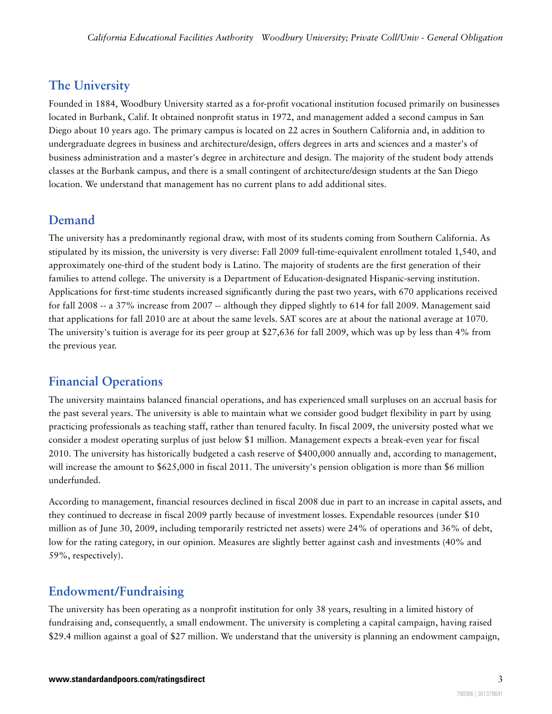#### <span id="page-2-0"></span>**The University**

Founded in 1884, Woodbury University started as a for-profit vocational institution focused primarily on businesses located in Burbank, Calif. It obtained nonprofit status in 1972, and management added a second campus in San Diego about 10 years ago. The primary campus is located on 22 acres in Southern California and, in addition to undergraduate degrees in business and architecture/design, offers degrees in arts and sciences and a master's of business administration and a master's degree in architecture and design. The majority of the student body attends classes at the Burbank campus, and there is a small contingent of architecture/design students at the San Diego location. We understand that management has no current plans to add additional sites.

#### <span id="page-2-1"></span>**Demand**

The university has a predominantly regional draw, with most of its students coming from Southern California. As stipulated by its mission, the university is very diverse: Fall 2009 full-time-equivalent enrollment totaled 1,540, and approximately one-third of the student body is Latino. The majority of students are the first generation of their families to attend college. The university is a Department of Education-designated Hispanic-serving institution. Applications for first-time students increased significantly during the past two years, with 670 applications received for fall 2008 -- a 37% increase from 2007 -- although they dipped slightly to 614 for fall 2009. Management said that applications for fall 2010 are at about the same levels. SAT scores are at about the national average at 1070. The university's tuition is average for its peer group at \$27,636 for fall 2009, which was up by less than 4% from the previous year.

#### <span id="page-2-2"></span>**Financial Operations**

The university maintains balanced financial operations, and has experienced small surpluses on an accrual basis for the past several years. The university is able to maintain what we consider good budget flexibility in part by using practicing professionals as teaching staff, rather than tenured faculty. In fiscal 2009, the university posted what we consider a modest operating surplus of just below \$1 million. Management expects a break-even year for fiscal 2010. The university has historically budgeted a cash reserve of \$400,000 annually and, according to management, will increase the amount to  $$625,000$  in fiscal 2011. The university's pension obligation is more than \$6 million underfunded.

According to management, financial resources declined in fiscal 2008 due in part to an increase in capital assets, and they continued to decrease in fiscal 2009 partly because of investment losses. Expendable resources (under \$10 million as of June 30, 2009, including temporarily restricted net assets) were 24% of operations and 36% of debt, low for the rating category, in our opinion. Measures are slightly better against cash and investments (40% and 59%, respectively).

#### <span id="page-2-3"></span>**Endowment/Fundraising**

The university has been operating as a nonprofit institution for only 38 years, resulting in a limited history of fundraising and, consequently, a small endowment. The university is completing a capital campaign, having raised \$29.4 million against a goal of \$27 million. We understand that the university is planning an endowment campaign,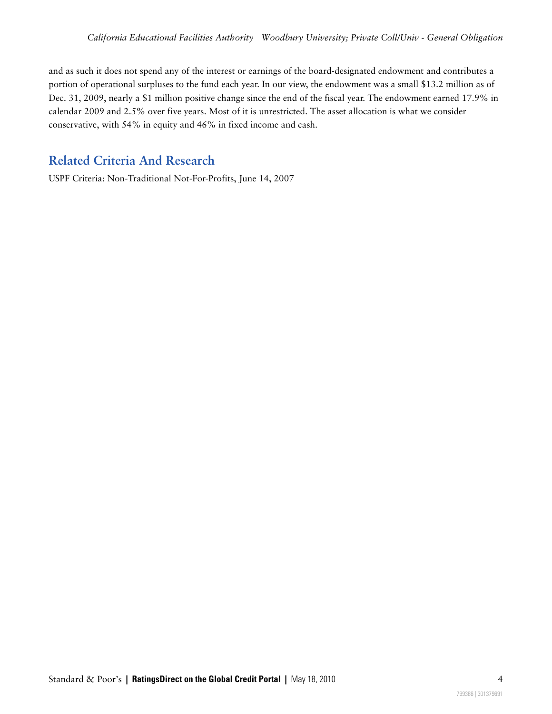and as such it does not spend any of the interest or earnings of the board-designated endowment and contributes a portion of operational surpluses to the fund each year. In our view, the endowment was a small \$13.2 million as of Dec. 31, 2009, nearly a \$1 million positive change since the end of the fiscal year. The endowment earned 17.9% in calendar 2009 and 2.5% over five years. Most of it is unrestricted. The asset allocation is what we consider conservative, with 54% in equity and 46% in fixed income and cash.

### <span id="page-3-0"></span>**Related Criteria And Research**

USPF Criteria: Non-Traditional Not-For-Profits, June 14, 2007